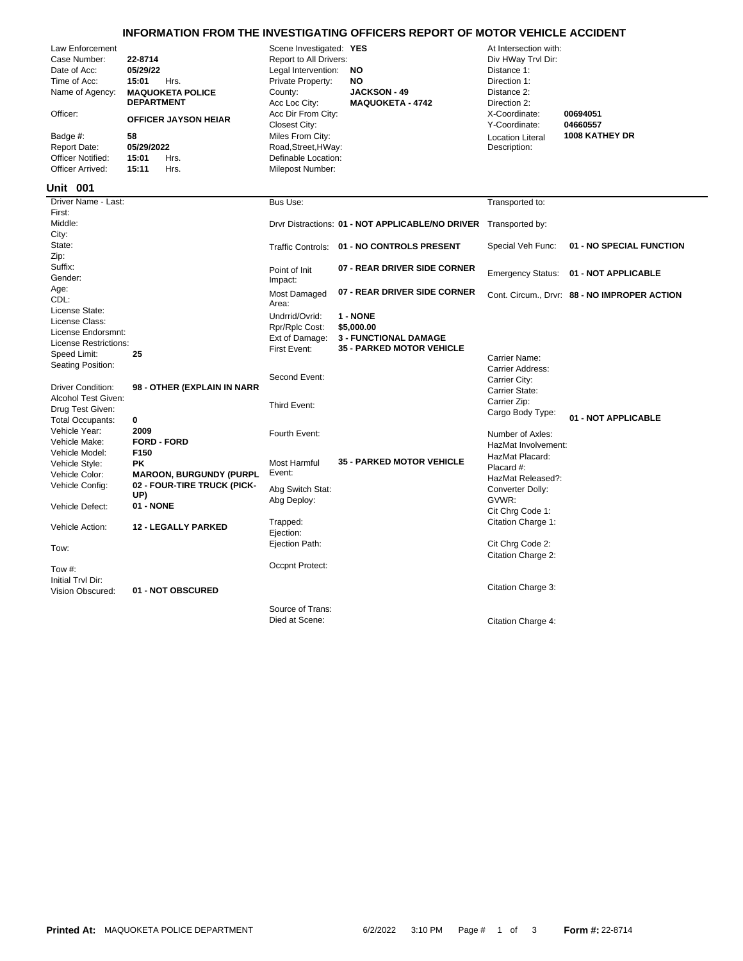## **INFORMATION FROM THE INVESTIGATING OFFICERS REPORT OF MOTOR VEHICLE ACCIDENT**

| Law Enforcement<br>Case Number:<br>Date of Acc:<br>Time of Acc:<br>Name of Agency:<br>Officer:<br>Badge #:<br><b>Report Date:</b><br><b>Officer Notified:</b><br>Officer Arrived: | 22-8714<br>05/29/22<br>15:01<br>Hrs.<br><b>MAQUOKETA POLICE</b><br><b>DEPARTMENT</b><br><b>OFFICER JAYSON HEIAR</b><br>58<br>05/29/2022<br>15:01<br>Hrs.<br>15:11<br>Hrs. | Scene Investigated: YES<br>Report to All Drivers:<br>Legal Intervention:<br>Private Property:<br>County:<br>Acc Loc City:<br>Acc Dir From City:<br>Closest City:<br>Miles From City:<br>Road, Street, HWay:<br>Definable Location:<br>Milepost Number: | <b>NO</b><br><b>NO</b><br><b>JACKSON - 49</b><br><b>MAQUOKETA - 4742</b> | At Intersection with:<br>Div HWay Trvl Dir:<br>Distance 1:<br>Direction 1:<br>Distance 2:<br>Direction 2:<br>X-Coordinate:<br>Y-Coordinate:<br><b>Location Literal</b><br>Description: | 00694051<br>04660557<br>1008 KATHEY DR       |
|-----------------------------------------------------------------------------------------------------------------------------------------------------------------------------------|---------------------------------------------------------------------------------------------------------------------------------------------------------------------------|--------------------------------------------------------------------------------------------------------------------------------------------------------------------------------------------------------------------------------------------------------|--------------------------------------------------------------------------|----------------------------------------------------------------------------------------------------------------------------------------------------------------------------------------|----------------------------------------------|
| <b>Unit 001</b>                                                                                                                                                                   |                                                                                                                                                                           |                                                                                                                                                                                                                                                        |                                                                          |                                                                                                                                                                                        |                                              |
| Driver Name - Last:                                                                                                                                                               |                                                                                                                                                                           | Bus Use:                                                                                                                                                                                                                                               |                                                                          | Transported to:                                                                                                                                                                        |                                              |
| First:<br>Middle:<br>City:                                                                                                                                                        |                                                                                                                                                                           |                                                                                                                                                                                                                                                        | Drvr Distractions: 01 - NOT APPLICABLE/NO DRIVER Transported by:         |                                                                                                                                                                                        |                                              |
| State:<br>Zip:                                                                                                                                                                    |                                                                                                                                                                           |                                                                                                                                                                                                                                                        | Traffic Controls: 01 - NO CONTROLS PRESENT                               | Special Veh Func:                                                                                                                                                                      | 01 - NO SPECIAL FUNCTION                     |
| Suffix:<br>Gender:                                                                                                                                                                |                                                                                                                                                                           | Point of Init<br>Impact:                                                                                                                                                                                                                               | 07 - REAR DRIVER SIDE CORNER                                             |                                                                                                                                                                                        | Emergency Status: 01 - NOT APPLICABLE        |
| Age:<br>CDL:<br>License State:                                                                                                                                                    |                                                                                                                                                                           | Most Damaged<br>Area:                                                                                                                                                                                                                                  | 07 - REAR DRIVER SIDE CORNER                                             |                                                                                                                                                                                        | Cont. Circum., Drvr: 88 - NO IMPROPER ACTION |
| License Class:                                                                                                                                                                    |                                                                                                                                                                           | Undrrid/Ovrid:                                                                                                                                                                                                                                         | 1 - NONE                                                                 |                                                                                                                                                                                        |                                              |
| License Endorsmnt:                                                                                                                                                                |                                                                                                                                                                           | Rpr/Rplc Cost:<br>Ext of Damage:                                                                                                                                                                                                                       | \$5,000.00<br><b>3 - FUNCTIONAL DAMAGE</b>                               |                                                                                                                                                                                        |                                              |
| License Restrictions:                                                                                                                                                             |                                                                                                                                                                           | First Event:                                                                                                                                                                                                                                           | <b>35 - PARKED MOTOR VEHICLE</b>                                         |                                                                                                                                                                                        |                                              |
| Speed Limit:                                                                                                                                                                      | 25                                                                                                                                                                        |                                                                                                                                                                                                                                                        |                                                                          | Carrier Name:                                                                                                                                                                          |                                              |
| Seating Position:                                                                                                                                                                 |                                                                                                                                                                           |                                                                                                                                                                                                                                                        |                                                                          | <b>Carrier Address:</b>                                                                                                                                                                |                                              |
| <b>Driver Condition:</b>                                                                                                                                                          | 98 - OTHER (EXPLAIN IN NARR                                                                                                                                               | Second Event:                                                                                                                                                                                                                                          |                                                                          | Carrier City:                                                                                                                                                                          |                                              |
| Alcohol Test Given:                                                                                                                                                               |                                                                                                                                                                           |                                                                                                                                                                                                                                                        |                                                                          | Carrier State:<br>Carrier Zip:                                                                                                                                                         |                                              |
| Drug Test Given:                                                                                                                                                                  |                                                                                                                                                                           | Third Event:                                                                                                                                                                                                                                           |                                                                          | Cargo Body Type:                                                                                                                                                                       |                                              |
| <b>Total Occupants:</b>                                                                                                                                                           | 0                                                                                                                                                                         |                                                                                                                                                                                                                                                        |                                                                          |                                                                                                                                                                                        | 01 - NOT APPLICABLE                          |
| Vehicle Year:                                                                                                                                                                     | 2009                                                                                                                                                                      | Fourth Event:                                                                                                                                                                                                                                          |                                                                          | Number of Axles:                                                                                                                                                                       |                                              |
| Vehicle Make:                                                                                                                                                                     | <b>FORD - FORD</b>                                                                                                                                                        |                                                                                                                                                                                                                                                        |                                                                          | HazMat Involvement:                                                                                                                                                                    |                                              |
| Vehicle Model:<br>Vehicle Style:                                                                                                                                                  | F <sub>150</sub><br><b>PK</b>                                                                                                                                             | Most Harmful                                                                                                                                                                                                                                           | <b>35 - PARKED MOTOR VEHICLE</b>                                         | HazMat Placard:                                                                                                                                                                        |                                              |
| Vehicle Color:                                                                                                                                                                    | <b>MAROON, BURGUNDY (PURPL</b>                                                                                                                                            | Event:                                                                                                                                                                                                                                                 |                                                                          | Placard #:                                                                                                                                                                             |                                              |
| Vehicle Config:                                                                                                                                                                   | 02 - FOUR-TIRE TRUCK (PICK-                                                                                                                                               | Abg Switch Stat:                                                                                                                                                                                                                                       |                                                                          | HazMat Released?:<br>Converter Dolly:                                                                                                                                                  |                                              |
|                                                                                                                                                                                   | UP)                                                                                                                                                                       | Abg Deploy:                                                                                                                                                                                                                                            |                                                                          | GVWR:                                                                                                                                                                                  |                                              |
| Vehicle Defect:                                                                                                                                                                   | 01 - NONE                                                                                                                                                                 |                                                                                                                                                                                                                                                        |                                                                          | Cit Chrg Code 1:                                                                                                                                                                       |                                              |
| Vehicle Action:                                                                                                                                                                   | <b>12 - LEGALLY PARKED</b>                                                                                                                                                | Trapped:<br>Ejection:                                                                                                                                                                                                                                  |                                                                          | Citation Charge 1:                                                                                                                                                                     |                                              |
| Tow:                                                                                                                                                                              |                                                                                                                                                                           | Ejection Path:                                                                                                                                                                                                                                         |                                                                          | Cit Chrg Code 2:                                                                                                                                                                       |                                              |
| Tow #:                                                                                                                                                                            |                                                                                                                                                                           | Occpnt Protect:                                                                                                                                                                                                                                        |                                                                          | Citation Charge 2:                                                                                                                                                                     |                                              |
| Initial Trvl Dir:<br>Vision Obscured:                                                                                                                                             | 01 - NOT OBSCURED                                                                                                                                                         |                                                                                                                                                                                                                                                        |                                                                          | Citation Charge 3:                                                                                                                                                                     |                                              |
|                                                                                                                                                                                   |                                                                                                                                                                           | Source of Trans:                                                                                                                                                                                                                                       |                                                                          |                                                                                                                                                                                        |                                              |
|                                                                                                                                                                                   |                                                                                                                                                                           | Died at Scene:                                                                                                                                                                                                                                         |                                                                          | Citation Charge 4:                                                                                                                                                                     |                                              |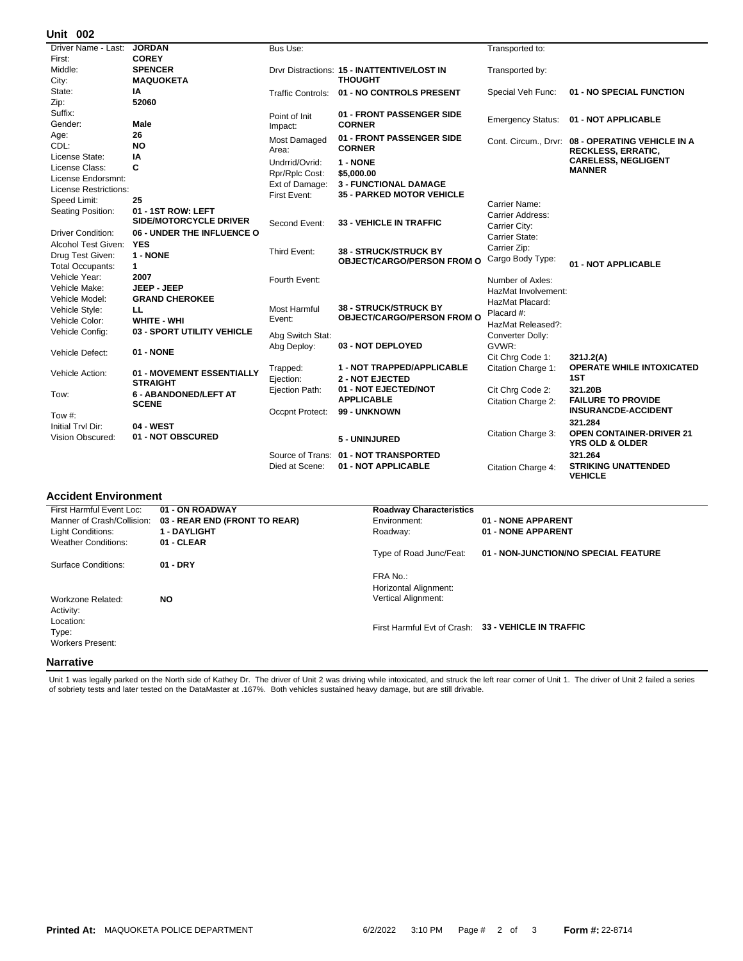## **002 Unit**

| UIIIL VV <del>L</del>        |                              |                          |                                             |                          |                                                  |
|------------------------------|------------------------------|--------------------------|---------------------------------------------|--------------------------|--------------------------------------------------|
| Driver Name - Last:          | <b>JORDAN</b>                | Bus Use:                 |                                             | Transported to:          |                                                  |
| First:                       | <b>COREY</b>                 |                          |                                             |                          |                                                  |
| Middle:                      | <b>SPENCER</b>               |                          | Drvr Distractions: 15 - INATTENTIVE/LOST IN | Transported by:          |                                                  |
| City:                        | <b>MAQUOKETA</b>             |                          | <b>THOUGHT</b>                              |                          |                                                  |
| State:                       | IA                           | <b>Traffic Controls:</b> | 01 - NO CONTROLS PRESENT                    | Special Veh Func:        | 01 - NO SPECIAL FUNCTION                         |
| Zip:                         | 52060                        |                          |                                             |                          |                                                  |
| Suffix:                      |                              | Point of Init            | 01 - FRONT PASSENGER SIDE                   |                          | 01 - NOT APPLICABLE                              |
| Gender:                      | Male                         | Impact:                  | <b>CORNER</b>                               | <b>Emergency Status:</b> |                                                  |
| Age:                         | 26                           | Most Damaged             | 01 - FRONT PASSENGER SIDE                   |                          | Cont. Circum., Drvr: 08 - OPERATING VEHICLE IN A |
| CDL:                         | <b>NO</b>                    | Area:                    | <b>CORNER</b>                               |                          | <b>RECKLESS, ERRATIC,</b>                        |
| License State:               | IA                           | Undrrid/Ovrid:           | 1 - NONE                                    |                          | <b>CARELESS, NEGLIGENT</b>                       |
| License Class:               | C                            | Rpr/Rplc Cost:           | \$5,000.00                                  |                          | <b>MANNER</b>                                    |
| License Endorsmnt:           |                              | Ext of Damage:           | <b>3 - FUNCTIONAL DAMAGE</b>                |                          |                                                  |
| <b>License Restrictions:</b> |                              | First Event:             | <b>35 - PARKED MOTOR VEHICLE</b>            |                          |                                                  |
| Speed Limit:                 | 25                           |                          |                                             | Carrier Name:            |                                                  |
| Seating Position:            | 01 - 1ST ROW: LEFT           |                          |                                             | Carrier Address:         |                                                  |
|                              | SIDE/MOTORCYCLE DRIVER       | Second Event:            | <b>33 - VEHICLE IN TRAFFIC</b>              | Carrier City:            |                                                  |
| <b>Driver Condition:</b>     | 06 - UNDER THE INFLUENCE O   |                          |                                             | Carrier State:           |                                                  |
| Alcohol Test Given:          | <b>YES</b>                   |                          |                                             | Carrier Zip:             |                                                  |
| Drug Test Given:             | 1 - NONE                     | Third Event:             | <b>38 - STRUCK/STRUCK BY</b>                | Cargo Body Type:         |                                                  |
| <b>Total Occupants:</b>      | $\mathbf{1}$                 |                          | <b>OBJECT/CARGO/PERSON FROM O</b>           |                          | 01 - NOT APPLICABLE                              |
| Vehicle Year:                | 2007                         | Fourth Event:            |                                             | Number of Axles:         |                                                  |
| Vehicle Make:                | JEEP - JEEP                  |                          |                                             | HazMat Involvement:      |                                                  |
| Vehicle Model:               | <b>GRAND CHEROKEE</b>        |                          |                                             | HazMat Placard:          |                                                  |
| Vehicle Style:               | ᄔ                            | Most Harmful             | <b>38 - STRUCK/STRUCK BY</b>                | Placard #:               |                                                  |
| Vehicle Color:               | <b>WHITE - WHI</b>           | Event:                   | <b>OBJECT/CARGO/PERSON FROM O</b>           | HazMat Released?:        |                                                  |
| Vehicle Config:              | 03 - SPORT UTILITY VEHICLE   | Abg Switch Stat:         |                                             | Converter Dolly:         |                                                  |
|                              |                              | Abg Deploy:              | 03 - NOT DEPLOYED                           | GVWR:                    |                                                  |
| Vehicle Defect:              | <b>01 - NONE</b>             |                          |                                             | Cit Chrg Code 1:         | 321J.2(A)                                        |
|                              |                              |                          | 1 - NOT TRAPPED/APPLICABLE                  | Citation Charge 1:       | <b>OPERATE WHILE INTOXICATED</b>                 |
| Vehicle Action:              | 01 - MOVEMENT ESSENTIALLY    | Trapped:<br>Ejection:    | <b>2 - NOT EJECTED</b>                      |                          | 1ST                                              |
|                              | <b>STRAIGHT</b>              | Ejection Path:           | 01 - NOT EJECTED/NOT                        | Cit Chrg Code 2:         | 321.20B                                          |
| Tow:                         | <b>6 - ABANDONED/LEFT AT</b> |                          | <b>APPLICABLE</b>                           |                          | <b>FAILURE TO PROVIDE</b>                        |
|                              | <b>SCENE</b>                 |                          | 99 - UNKNOWN                                | Citation Charge 2:       | <b>INSURANCDE-ACCIDENT</b>                       |
| Tow #:                       |                              | Occpnt Protect:          |                                             |                          |                                                  |
| Initial Trvl Dir:            | 04 - WEST                    |                          |                                             |                          | 321.284<br><b>OPEN CONTAINER-DRIVER 21</b>       |
| <b>Vision Obscured:</b>      | 01 - NOT OBSCURED            |                          | 5 - UNINJURED                               | Citation Charge 3:       | <b>YRS OLD &amp; OLDER</b>                       |
|                              |                              |                          | Source of Trans: 01 - NOT TRANSPORTED       |                          | 321.264                                          |
|                              |                              | Died at Scene:           | 01 - NOT APPLICABLE                         | Citation Charge 4:       | <b>STRIKING UNATTENDED</b><br><b>VEHICLE</b>     |

## **Accident Environment**

| First Harmful Event Loc:   | 01 - ON ROADWAY               | <b>Roadway Characteristics</b> |                                                     |
|----------------------------|-------------------------------|--------------------------------|-----------------------------------------------------|
| Manner of Crash/Collision: | 03 - REAR END (FRONT TO REAR) | Environment:                   | 01 - NONE APPARENT                                  |
| <b>Light Conditions:</b>   | <b>1 - DAYLIGHT</b>           | Roadway:                       | 01 - NONE APPARENT                                  |
| <b>Weather Conditions:</b> | 01 - CLEAR                    |                                |                                                     |
|                            |                               | Type of Road Junc/Feat:        | 01 - NON-JUNCTION/NO SPECIAL FEATURE                |
| Surface Conditions:        | $01 - DRY$                    |                                |                                                     |
|                            |                               | FRA No.:                       |                                                     |
|                            |                               | Horizontal Alignment:          |                                                     |
| Workzone Related:          | <b>NO</b>                     | <b>Vertical Alignment:</b>     |                                                     |
| Activity:                  |                               |                                |                                                     |
| Location:                  |                               |                                |                                                     |
| Type:                      |                               |                                | First Harmful Evt of Crash: 33 - VEHICLE IN TRAFFIC |
| <b>Workers Present:</b>    |                               |                                |                                                     |
|                            |                               |                                |                                                     |
| <b>Narrative</b>           |                               |                                |                                                     |

Unit 1 was legally parked on the North side of Kathey Dr. The driver of Unit 2 was driving while intoxicated, and struck the left rear corner of Unit 1. The driver of Unit 2 failed a series<br>of sobriety tests and later test